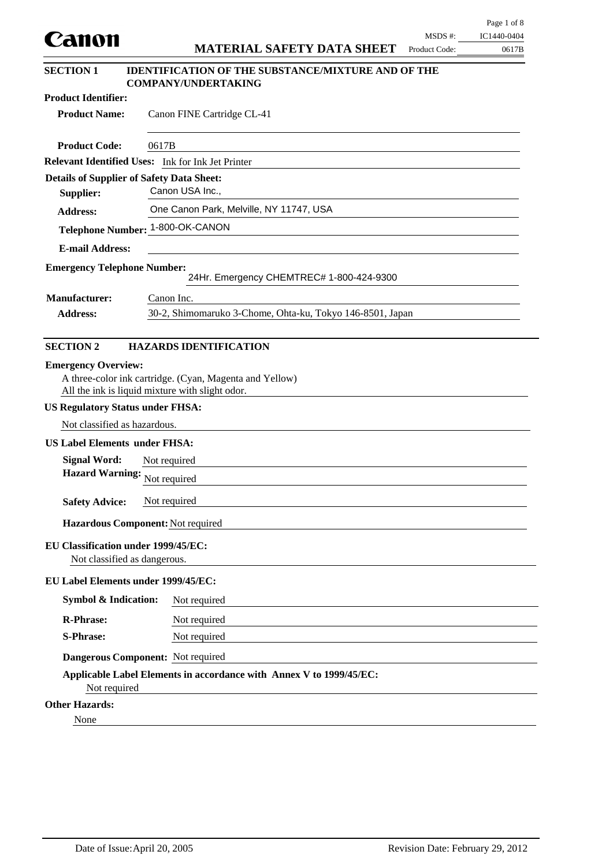|                                                                     | Page 1 of 8<br>IC1440-0404                                                                                 |
|---------------------------------------------------------------------|------------------------------------------------------------------------------------------------------------|
| Canon                                                               | MSDS #:<br><b>MATERIAL SAFETY DATA SHEET</b><br>Product Code:<br>0617B                                     |
| <b>SECTION 1</b>                                                    | <b>IDENTIFICATION OF THE SUBSTANCE/MIXTURE AND OF THE</b><br><b>COMPANY/UNDERTAKING</b>                    |
| <b>Product Identifier:</b>                                          |                                                                                                            |
| <b>Product Name:</b>                                                | Canon FINE Cartridge CL-41                                                                                 |
| <b>Product Code:</b>                                                | 0617B                                                                                                      |
|                                                                     | Relevant Identified Uses: Ink for Ink Jet Printer                                                          |
| <b>Details of Supplier of Safety Data Sheet:</b>                    |                                                                                                            |
| Supplier:                                                           | Canon USA Inc.,                                                                                            |
| <b>Address:</b>                                                     | One Canon Park, Melville, NY 11747, USA                                                                    |
|                                                                     | Telephone Number: 1-800-OK-CANON                                                                           |
| <b>E-mail Address:</b>                                              |                                                                                                            |
| <b>Emergency Telephone Number:</b>                                  | 24Hr. Emergency CHEMTREC# 1-800-424-9300                                                                   |
| <b>Manufacturer:</b>                                                | Canon Inc.                                                                                                 |
| <b>Address:</b>                                                     | 30-2, Shimomaruko 3-Chome, Ohta-ku, Tokyo 146-8501, Japan                                                  |
| <b>US Regulatory Status under FHSA:</b>                             | A three-color ink cartridge. (Cyan, Magenta and Yellow)<br>All the ink is liquid mixture with slight odor. |
| Not classified as hazardous.                                        |                                                                                                            |
| <b>US Label Elements under FHSA:</b>                                |                                                                                                            |
| <b>Signal Word:</b>                                                 | Not required                                                                                               |
| Hazard Warning: Not required                                        |                                                                                                            |
| <b>Safety Advice:</b>                                               | Not required                                                                                               |
|                                                                     | Hazardous Component: Not required                                                                          |
| EU Classification under 1999/45/EC:<br>Not classified as dangerous. |                                                                                                            |
| EU Label Elements under 1999/45/EC:                                 |                                                                                                            |
| <b>Symbol &amp; Indication:</b>                                     | Not required                                                                                               |
| <b>R-Phrase:</b>                                                    | Not required                                                                                               |
| <b>S-Phrase:</b>                                                    | Not required                                                                                               |
|                                                                     | Dangerous Component: Not required                                                                          |
| Not required                                                        | Applicable Label Elements in accordance with Annex V to 1999/45/EC:                                        |
| <b>Other Hazards:</b>                                               |                                                                                                            |
|                                                                     |                                                                                                            |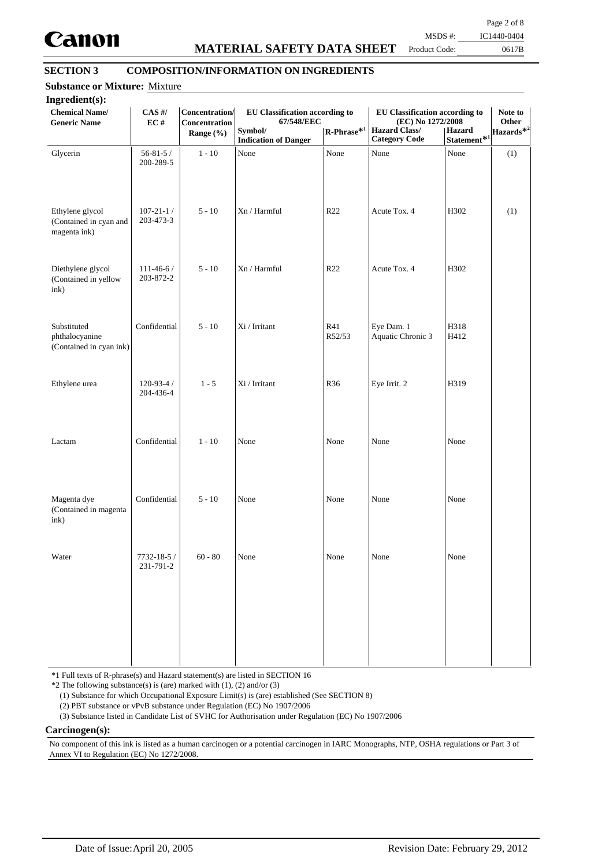

# **MATERIAL SAFETY DATA SHEET**

Page 2 of 8

Product Code:

0617B MSDS #: IC1440-0404

# **SECTION 3 COMPOSITION/INFORMATION ON INGREDIENTS**

| Ingredient(s):<br><b>Chemical Name/</b><br><b>Generic Name</b> | $CAS$ #/<br>EC#              | Concentration/<br>Concentration<br>Range $(\% )$ | <b>EU Classification according to</b><br>67/548/EEC<br>Symbol/ | $\text{R-Phrase}^{\textcolor{red}{\ast 1}}$ | EU Classification according to<br>(EC) No 1272/2008<br><b>Hazard Class/</b> | <b>Hazard</b>                   | Note to<br>Other<br>Hazards <sup>*2</sup> |
|----------------------------------------------------------------|------------------------------|--------------------------------------------------|----------------------------------------------------------------|---------------------------------------------|-----------------------------------------------------------------------------|---------------------------------|-------------------------------------------|
| Glycerin                                                       | $56 - 81 - 5/$<br>200-289-5  | $1 - 10$                                         | <b>Indication of Danger</b><br>None                            | None                                        | <b>Category Code</b><br>None                                                | Statement* <sup>1</sup><br>None | (1)                                       |
| Ethylene glycol<br>(Contained in cyan and<br>magenta ink)      | $107 - 21 - 1/$<br>203-473-3 | $5 - 10$                                         | Xn / Harmful                                                   | R <sub>22</sub>                             | Acute Tox. 4                                                                | H302                            | (1)                                       |
| Diethylene glycol<br>(Contained in yellow<br>ink)              | $111 - 46 - 6/$<br>203-872-2 | $5 - 10$                                         | Xn / Harmful                                                   | R22                                         | Acute Tox. 4                                                                | H302                            |                                           |
| Substituted<br>phthalocyanine<br>(Contained in cyan ink)       | Confidential                 | $5 - 10$                                         | Xi / Irritant                                                  | R41<br>R52/53                               | Eye Dam. 1<br>Aquatic Chronic 3                                             | H318<br>H412                    |                                           |
| Ethylene urea                                                  | $120 - 93 - 4/$<br>204-436-4 | $1 - 5$                                          | Xi / Irritant                                                  | R36                                         | Eye Irrit. 2                                                                | H319                            |                                           |
| Lactam                                                         | Confidential                 | $1 - 10$                                         | None                                                           | None                                        | None                                                                        | None                            |                                           |
| Magenta dye<br>(Contained in magenta<br>ink)                   | Confidential                 | $5 - 10$                                         | None                                                           | None                                        | None                                                                        | None                            |                                           |
| Water                                                          | 7732-18-5 /<br>231-791-2     | $60 - 80$                                        | None                                                           | None                                        | None                                                                        | None                            |                                           |
|                                                                |                              |                                                  |                                                                |                                             |                                                                             |                                 |                                           |
|                                                                |                              |                                                  |                                                                |                                             |                                                                             |                                 |                                           |

\*1 Full texts of R-phrase(s) and Hazard statement(s) are listed in SECTION 16

 $*2$  The following substance(s) is (are) marked with (1), (2) and/or (3)

(1) Substance for which Occupational Exposure Limit(s) is (are) established (See SECTION 8)

(2) PBT substance or vPvB substance under Regulation (EC) No 1907/2006

(3) Substance listed in Candidate List of SVHC for Authorisation under Regulation (EC) No 1907/2006

#### **Carcinogen(s):**

No component of this ink is listed as a human carcinogen or a potential carcinogen in IARC Monographs, NTP, OSHA regulations or Part 3 of Annex VI to Regulation (EC) No 1272/2008.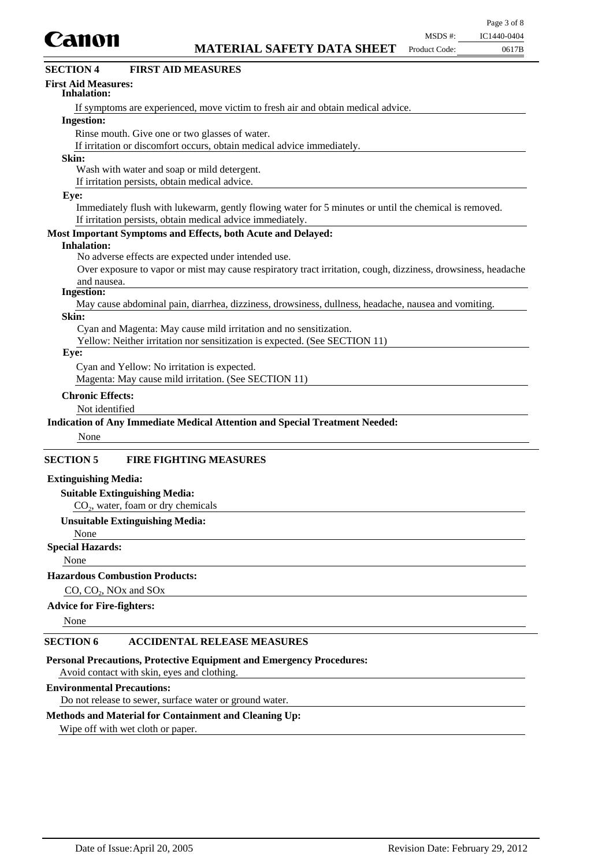

| <b>FIRST AID MEASURES</b><br><b>SECTION 4</b>                                                                 |
|---------------------------------------------------------------------------------------------------------------|
| <b>First Aid Measures:</b><br><b>Inhalation:</b>                                                              |
| If symptoms are experienced, move victim to fresh air and obtain medical advice.                              |
| <b>Ingestion:</b>                                                                                             |
| Rinse mouth. Give one or two glasses of water.                                                                |
| If irritation or discomfort occurs, obtain medical advice immediately.                                        |
| Skin:                                                                                                         |
| Wash with water and soap or mild detergent.                                                                   |
| If irritation persists, obtain medical advice.                                                                |
| Eye:                                                                                                          |
| Immediately flush with lukewarm, gently flowing water for 5 minutes or until the chemical is removed.         |
| If irritation persists, obtain medical advice immediately.                                                    |
| Most Important Symptoms and Effects, both Acute and Delayed:                                                  |
| <b>Inhalation:</b>                                                                                            |
| No adverse effects are expected under intended use.                                                           |
| Over exposure to vapor or mist may cause respiratory tract irritation, cough, dizziness, drowsiness, headache |
| and nausea.                                                                                                   |
| <b>Ingestion:</b>                                                                                             |
| May cause abdominal pain, diarrhea, dizziness, drowsiness, dullness, headache, nausea and vomiting.           |
| Skin:                                                                                                         |
| Cyan and Magenta: May cause mild irritation and no sensitization.                                             |
| Yellow: Neither irritation nor sensitization is expected. (See SECTION 11)                                    |
| Eye:                                                                                                          |
| Cyan and Yellow: No irritation is expected.                                                                   |
| Magenta: May cause mild irritation. (See SECTION 11)                                                          |
| <b>Chronic Effects:</b>                                                                                       |
| Not identified                                                                                                |
| <b>Indication of Any Immediate Medical Attention and Special Treatment Needed:</b>                            |
| None                                                                                                          |
| <b>SECTION 5</b><br><b>FIRE FIGHTING MEASURES</b>                                                             |
| <b>Extinguishing Media:</b>                                                                                   |
| <b>Suitable Extinguishing Media:</b>                                                                          |
| $CO2$ , water, foam or dry chemicals                                                                          |
|                                                                                                               |

#### **Unsuitable Extinguishing Media:** None

## **Special Hazards:**

None

### **Hazardous Combustion Products:**

## CO, CO<sub>2</sub>, NO<sub>x</sub> and SO<sub>x</sub>

#### **Advice for Fire-fighters:**

None

## **SECTION 6 ACCIDENTAL RELEASE MEASURES**

#### **Personal Precautions, Protective Equipment and Emergency Procedures:**

Avoid contact with skin, eyes and clothing.

## **Environmental Precautions:**

Do not release to sewer, surface water or ground water.

### **Methods and Material for Containment and Cleaning Up:**

Wipe off with wet cloth or paper.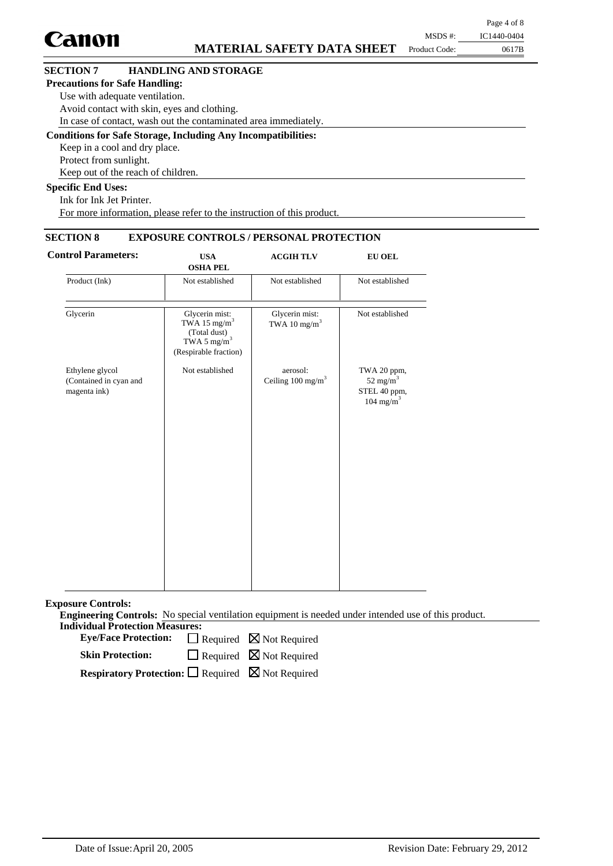|                                       |                                                                      |               | Page 4 of 8 |
|---------------------------------------|----------------------------------------------------------------------|---------------|-------------|
| Canon                                 |                                                                      | MSDS #:       | IC1440-0404 |
|                                       | <b>MATERIAL SAFETY DATA SHEET</b>                                    | Product Code: | 0617B       |
| <b>SECTION 7</b>                      | <b>HANDLING AND STORAGE</b>                                          |               |             |
| <b>Precautions for Safe Handling:</b> |                                                                      |               |             |
| Use with adequate ventilation.        |                                                                      |               |             |
|                                       | Avoid contact with skin, eyes and clothing.                          |               |             |
|                                       | In case of contact, wash out the contaminated area immediately.      |               |             |
|                                       | <b>Conditions for Safe Storage, Including Any Incompatibilities:</b> |               |             |
| Keep in a cool and dry place.         |                                                                      |               |             |
| Protect from sunlight.                |                                                                      |               |             |
|                                       | Keep out of the reach of children.                                   |               |             |

## **Specific End Uses:**

Ink for Ink Jet Printer. For more information, please refer to the instruction of this product.

## **SECTION 8 EXPOSURE CONTROLS / PERSONAL PROTECTION**

| <b>Control Parameters:</b>                                | <b>USA</b><br><b>OSHA PEL</b>                                                                                  | <b>ACGIH TLV</b>                           | <b>EU OEL</b>                                                         |
|-----------------------------------------------------------|----------------------------------------------------------------------------------------------------------------|--------------------------------------------|-----------------------------------------------------------------------|
| Product (Ink)                                             | Not established                                                                                                | Not established                            | Not established                                                       |
| Glycerin                                                  | Glycerin mist:<br>TWA 15 mg/m <sup>3</sup><br>(Total dust)<br>TWA 5 mg/m <sup>3</sup><br>(Respirable fraction) | Glycerin mist:<br>TWA 10 mg/m <sup>3</sup> | Not established                                                       |
| Ethylene glycol<br>(Contained in cyan and<br>magenta ink) | Not established                                                                                                | aerosol:<br>Ceiling 100 mg/m <sup>3</sup>  | TWA 20 ppm,<br>52 mg/m $3$<br>STEL 40 ppm,<br>$104$ mg/m <sup>3</sup> |

**Exposure Controls:**

**Engineering Controls:** No special ventilation equipment is needed under intended use of this product. **Individual Protection Measures:**

Eye/Face Protection:  $\Box$  Required  $\boxtimes$  Not Required

 $\Box$  Required  $\boxtimes$  Not Required **Skin Protection:**

**Respiratory Protection:** □ Required ⊠ Not Required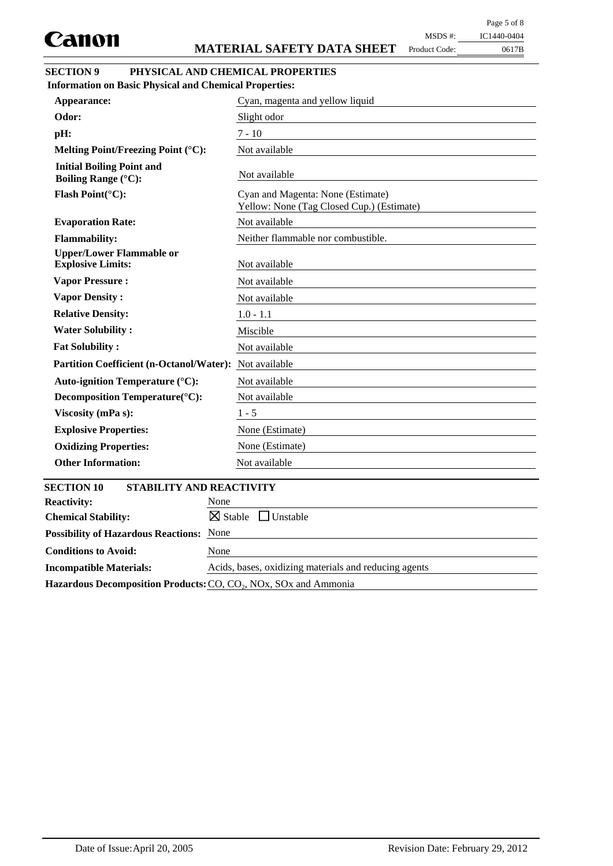| ипон                                                                              | <b>MATERIAL SAFETY DATA SHEET</b><br>Product Code:<br>0617B                    |
|-----------------------------------------------------------------------------------|--------------------------------------------------------------------------------|
| <b>SECTION 9</b><br><b>Information on Basic Physical and Chemical Properties:</b> | PHYSICAL AND CHEMICAL PROPERTIES                                               |
| Appearance:                                                                       | Cyan, magenta and yellow liquid                                                |
| Odor:                                                                             | Slight odor                                                                    |
| pH:                                                                               | $7 - 10$                                                                       |
| Melting Point/Freezing Point (°C):                                                | Not available                                                                  |
| <b>Initial Boiling Point and</b><br><b>Boiling Range (°C):</b>                    | Not available                                                                  |
| Flash Point(°C):                                                                  | Cyan and Magenta: None (Estimate)<br>Yellow: None (Tag Closed Cup.) (Estimate) |
| <b>Evaporation Rate:</b>                                                          | Not available                                                                  |
| <b>Flammability:</b>                                                              | Neither flammable nor combustible.                                             |
| <b>Upper/Lower Flammable or</b><br><b>Explosive Limits:</b>                       | Not available                                                                  |
| <b>Vapor Pressure:</b>                                                            | Not available                                                                  |
| <b>Vapor Density:</b>                                                             | Not available                                                                  |
| <b>Relative Density:</b>                                                          | $1.0 - 1.1$                                                                    |
| <b>Water Solubility:</b>                                                          | Miscible                                                                       |
| <b>Fat Solubility:</b>                                                            | Not available                                                                  |
| <b>Partition Coefficient (n-Octanol/Water):</b>                                   | Not available                                                                  |
| Auto-ignition Temperature (°C):                                                   | Not available                                                                  |
| Decomposition Temperature(°C):                                                    | Not available                                                                  |
| Viscosity (mPa s):                                                                | $1 - 5$                                                                        |
| <b>Explosive Properties:</b>                                                      | None (Estimate)                                                                |
| <b>Oxidizing Properties:</b>                                                      | None (Estimate)                                                                |
| <b>Other Information:</b>                                                         | Not available                                                                  |
| <b>SECTION 10</b><br>STABILITY AND REACTIVITY                                     |                                                                                |
| <b>Reactivity:</b>                                                                | None                                                                           |

| DECTION TO<br><b>STADILITT AND NEACTIVITT</b>                                                         |                                                       |
|-------------------------------------------------------------------------------------------------------|-------------------------------------------------------|
| <b>Reactivity:</b>                                                                                    | None                                                  |
| <b>Chemical Stability:</b>                                                                            | $\boxtimes$ Stable Unstable                           |
| <b>Possibility of Hazardous Reactions:</b>                                                            | None                                                  |
| <b>Conditions to Avoid:</b>                                                                           | None                                                  |
| <b>Incompatible Materials:</b>                                                                        | Acids, bases, oxidizing materials and reducing agents |
| Hazardous Decomposition Products: CO, CO <sub>2</sub> , NO <sub>x</sub> , SO <sub>x</sub> and Ammonia |                                                       |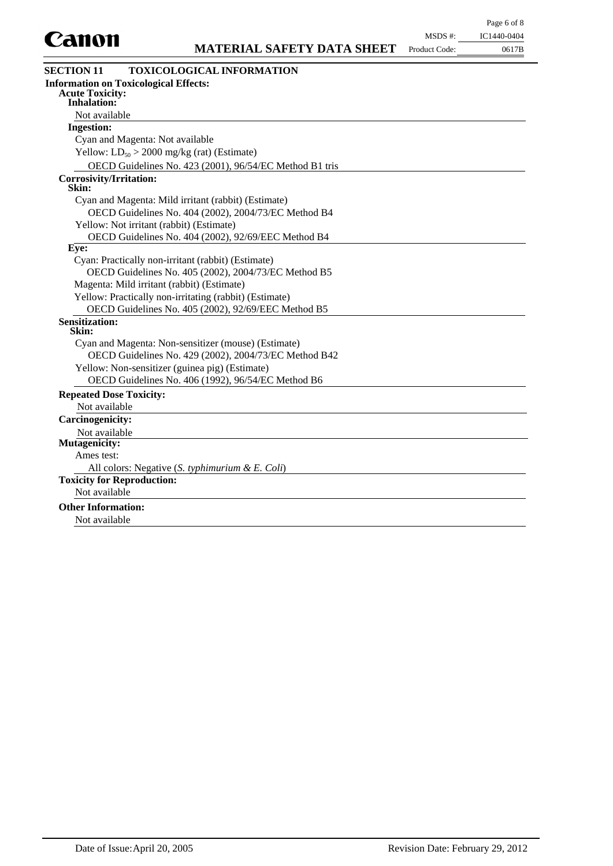

Product Code:

| 11, 1441/71/41/4 |
|------------------|
| 0617B            |
|                  |

| <b>SECTION 11</b><br><b>TOXICOLOGICAL INFORMATION</b>   |
|---------------------------------------------------------|
| <b>Information on Toxicological Effects:</b>            |
| <b>Acute Toxicity:</b><br><b>Inhalation:</b>            |
| Not available                                           |
| <b>Ingestion:</b>                                       |
| Cyan and Magenta: Not available                         |
| Yellow: $LD_{50} > 2000$ mg/kg (rat) (Estimate)         |
| OECD Guidelines No. 423 (2001), 96/54/EC Method B1 tris |
| <b>Corrosivity/Irritation:</b>                          |
| Skin:                                                   |
| Cyan and Magenta: Mild irritant (rabbit) (Estimate)     |
| OECD Guidelines No. 404 (2002), 2004/73/EC Method B4    |
| Yellow: Not irritant (rabbit) (Estimate)                |
| OECD Guidelines No. 404 (2002), 92/69/EEC Method B4     |
| Eye:                                                    |
| Cyan: Practically non-irritant (rabbit) (Estimate)      |
| OECD Guidelines No. 405 (2002), 2004/73/EC Method B5    |
| Magenta: Mild irritant (rabbit) (Estimate)              |
| Yellow: Practically non-irritating (rabbit) (Estimate)  |
| OECD Guidelines No. 405 (2002), 92/69/EEC Method B5     |
| <b>Sensitization:</b><br>Skin:                          |
| Cyan and Magenta: Non-sensitizer (mouse) (Estimate)     |
| OECD Guidelines No. 429 (2002), 2004/73/EC Method B42   |
| Yellow: Non-sensitizer (guinea pig) (Estimate)          |
| OECD Guidelines No. 406 (1992), 96/54/EC Method B6      |
| <b>Repeated Dose Toxicity:</b>                          |
| Not available                                           |
| <b>Carcinogenicity:</b>                                 |
| Not available                                           |
| Mutagenicity:                                           |
| Ames test:                                              |
| All colors: Negative (S. typhimurium & E. Coli)         |
| <b>Toxicity for Reproduction:</b>                       |
| Not available                                           |
| <b>Other Information:</b>                               |
| Not available                                           |
|                                                         |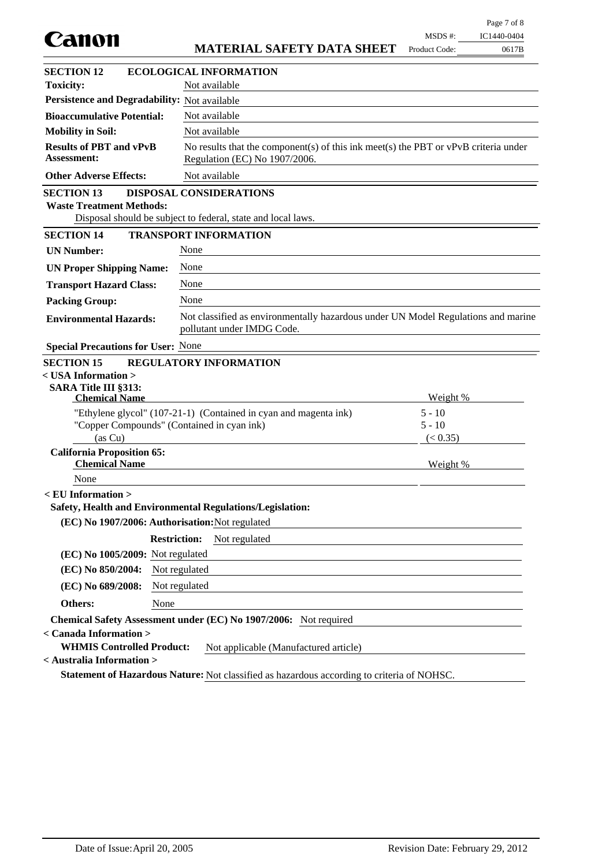| Canon                                                                                   |                                                                                                                        | MSDS #:                          | IC1440-0404 |
|-----------------------------------------------------------------------------------------|------------------------------------------------------------------------------------------------------------------------|----------------------------------|-------------|
|                                                                                         | <b>MATERIAL SAFETY DATA SHEET</b>                                                                                      | Product Code:                    | 0617B       |
| <b>SECTION 12</b>                                                                       | <b>ECOLOGICAL INFORMATION</b>                                                                                          |                                  |             |
| <b>Toxicity:</b>                                                                        | Not available                                                                                                          |                                  |             |
| Persistence and Degradability: Not available                                            |                                                                                                                        |                                  |             |
| <b>Bioaccumulative Potential:</b>                                                       | Not available                                                                                                          |                                  |             |
| <b>Mobility in Soil:</b>                                                                | Not available                                                                                                          |                                  |             |
| <b>Results of PBT and vPvB</b><br><b>Assessment:</b>                                    | No results that the component(s) of this ink meet(s) the PBT or $vPvB$ criteria under<br>Regulation (EC) No 1907/2006. |                                  |             |
| <b>Other Adverse Effects:</b>                                                           | Not available                                                                                                          |                                  |             |
| <b>SECTION 13</b><br><b>Waste Treatment Methods:</b>                                    | <b>DISPOSAL CONSIDERATIONS</b><br>Disposal should be subject to federal, state and local laws.                         |                                  |             |
| <b>SECTION 14</b>                                                                       | <b>TRANSPORT INFORMATION</b>                                                                                           |                                  |             |
| <b>UN Number:</b>                                                                       | None                                                                                                                   |                                  |             |
| <b>UN Proper Shipping Name:</b>                                                         | None                                                                                                                   |                                  |             |
| <b>Transport Hazard Class:</b>                                                          | None                                                                                                                   |                                  |             |
| <b>Packing Group:</b>                                                                   | None                                                                                                                   |                                  |             |
| <b>Environmental Hazards:</b>                                                           | Not classified as environmentally hazardous under UN Model Regulations and marine<br>pollutant under IMDG Code.        |                                  |             |
| <b>Special Precautions for User: None</b>                                               |                                                                                                                        |                                  |             |
| $<$ USA Information $>$<br>SARA Title III §313:<br><b>Chemical Name</b>                 | "Ethylene glycol" (107-21-1) (Contained in cyan and magenta ink)<br>"Copper Compounds" (Contained in cyan ink)         | Weight %<br>$5 - 10$<br>$5 - 10$ |             |
| (as Cu)                                                                                 |                                                                                                                        | (< 0.35)                         |             |
| <b>California Proposition 65:</b><br><b>Chemical Name</b>                               |                                                                                                                        | Weight %                         |             |
| None                                                                                    |                                                                                                                        |                                  |             |
| <eu information=""></eu>                                                                | Safety, Health and Environmental Regulations/Legislation:                                                              |                                  |             |
| (EC) No 1907/2006: Authorisation: Not regulated                                         |                                                                                                                        |                                  |             |
|                                                                                         | <b>Restriction:</b><br>Not regulated                                                                                   |                                  |             |
| (EC) No 1005/2009: Not regulated                                                        |                                                                                                                        |                                  |             |
| (EC) No 850/2004:                                                                       | Not regulated                                                                                                          |                                  |             |
| (EC) No 689/2008:                                                                       | Not regulated                                                                                                          |                                  |             |
| None<br>Others:                                                                         |                                                                                                                        |                                  |             |
| < Canada Information ><br><b>WHMIS Controlled Product:</b><br>< Australia Information > | Chemical Safety Assessment under (EC) No 1907/2006: Not required<br>Not applicable (Manufactured article)              |                                  |             |
|                                                                                         | Statement of Hazardous Nature: Not classified as hazardous according to criteria of NOHSC.                             |                                  |             |
|                                                                                         |                                                                                                                        |                                  |             |

Page 7 of 8